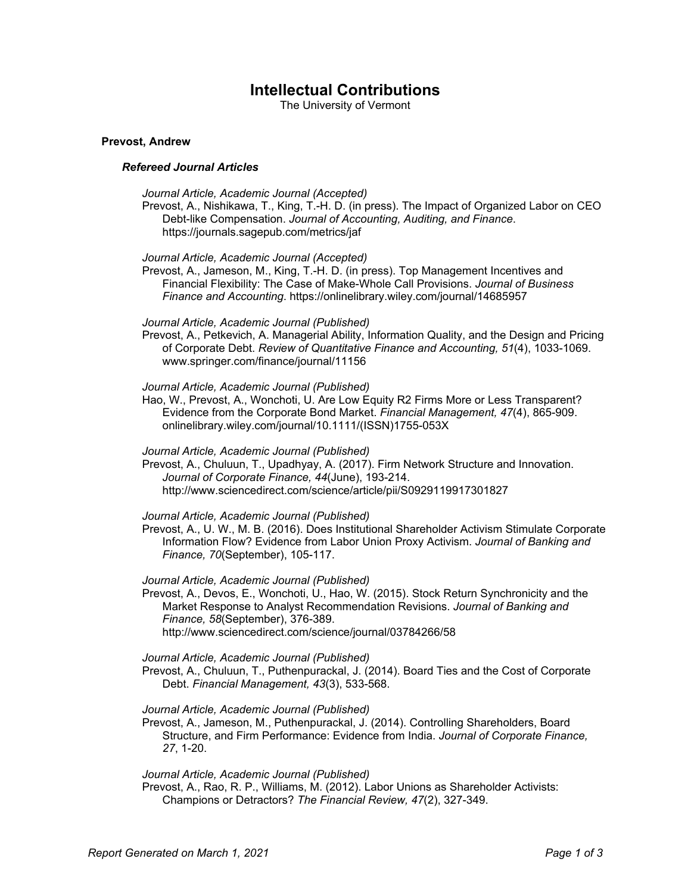# **Intellectual Contributions**

The University of Vermont

# **Prevost, Andrew**

# *Refereed Journal Articles*

- *Journal Article, Academic Journal (Accepted)*
- Prevost, A., Nishikawa, T., King, T.-H. D. (in press). The Impact of Organized Labor on CEO Debt-like Compensation. *Journal of Accounting, Auditing, and Finance*. https://journals.sagepub.com/metrics/jaf
- *Journal Article, Academic Journal (Accepted)*

Prevost, A., Jameson, M., King, T.-H. D. (in press). Top Management Incentives and Financial Flexibility: The Case of Make-Whole Call Provisions. *Journal of Business Finance and Accounting*. https://onlinelibrary.wiley.com/journal/14685957

#### *Journal Article, Academic Journal (Published)*

Prevost, A., Petkevich, A. Managerial Ability, Information Quality, and the Design and Pricing of Corporate Debt. *Review of Quantitative Finance and Accounting, 51*(4), 1033-1069. www.springer.com/finance/journal/11156

# *Journal Article, Academic Journal (Published)*

Hao, W., Prevost, A., Wonchoti, U. Are Low Equity R2 Firms More or Less Transparent? Evidence from the Corporate Bond Market. *Financial Management, 47*(4), 865-909. onlinelibrary.wiley.com/journal/10.1111/(ISSN)1755-053X

# *Journal Article, Academic Journal (Published)*

Prevost, A., Chuluun, T., Upadhyay, A. (2017). Firm Network Structure and Innovation. *Journal of Corporate Finance, 44*(June), 193-214. http://www.sciencedirect.com/science/article/pii/S0929119917301827

#### *Journal Article, Academic Journal (Published)*

Prevost, A., U. W., M. B. (2016). Does Institutional Shareholder Activism Stimulate Corporate Information Flow? Evidence from Labor Union Proxy Activism. *Journal of Banking and Finance, 70*(September), 105-117.

#### *Journal Article, Academic Journal (Published)*

Prevost, A., Devos, E., Wonchoti, U., Hao, W. (2015). Stock Return Synchronicity and the Market Response to Analyst Recommendation Revisions. *Journal of Banking and Finance, 58*(September), 376-389. http://www.sciencedirect.com/science/journal/03784266/58

# *Journal Article, Academic Journal (Published)*

Prevost, A., Chuluun, T., Puthenpurackal, J. (2014). Board Ties and the Cost of Corporate Debt. *Financial Management, 43*(3), 533-568.

# *Journal Article, Academic Journal (Published)*

Prevost, A., Jameson, M., Puthenpurackal, J. (2014). Controlling Shareholders, Board Structure, and Firm Performance: Evidence from India. *Journal of Corporate Finance, 27*, 1-20.

#### *Journal Article, Academic Journal (Published)*

Prevost, A., Rao, R. P., Williams, M. (2012). Labor Unions as Shareholder Activists: Champions or Detractors? *The Financial Review, 47*(2), 327-349.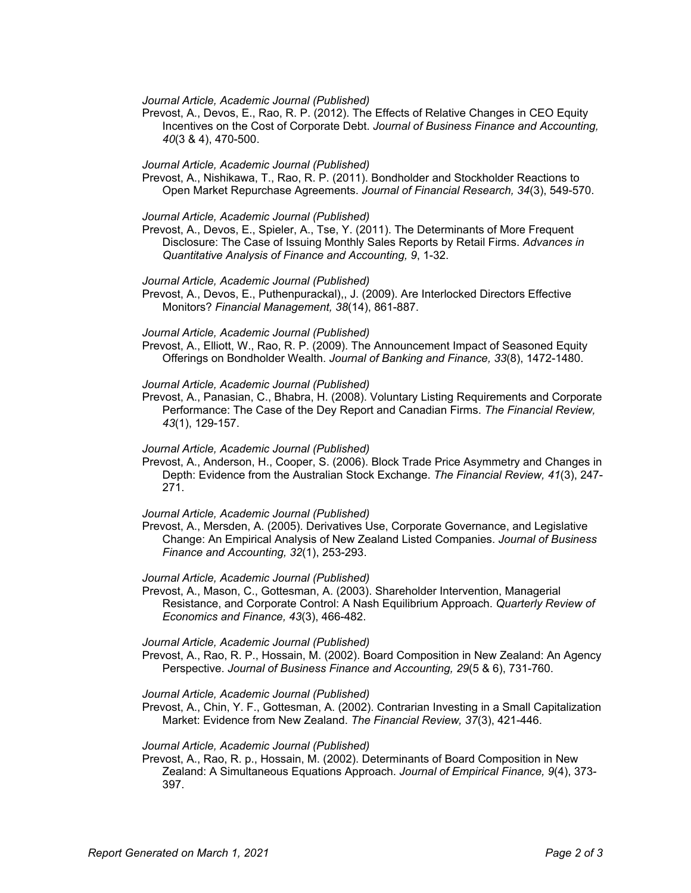#### *Journal Article, Academic Journal (Published)*

Prevost, A., Devos, E., Rao, R. P. (2012). The Effects of Relative Changes in CEO Equity Incentives on the Cost of Corporate Debt. *Journal of Business Finance and Accounting, 40*(3 & 4), 470-500.

#### *Journal Article, Academic Journal (Published)*

Prevost, A., Nishikawa, T., Rao, R. P. (2011). Bondholder and Stockholder Reactions to Open Market Repurchase Agreements. *Journal of Financial Research, 34*(3), 549-570.

#### *Journal Article, Academic Journal (Published)*

Prevost, A., Devos, E., Spieler, A., Tse, Y. (2011). The Determinants of More Frequent Disclosure: The Case of Issuing Monthly Sales Reports by Retail Firms. *Advances in Quantitative Analysis of Finance and Accounting, 9*, 1-32.

### *Journal Article, Academic Journal (Published)*

Prevost, A., Devos, E., Puthenpurackal),, J. (2009). Are Interlocked Directors Effective Monitors? *Financial Management, 38*(14), 861-887.

#### *Journal Article, Academic Journal (Published)*

Prevost, A., Elliott, W., Rao, R. P. (2009). The Announcement Impact of Seasoned Equity Offerings on Bondholder Wealth. *Journal of Banking and Finance, 33*(8), 1472-1480.

#### *Journal Article, Academic Journal (Published)*

Prevost, A., Panasian, C., Bhabra, H. (2008). Voluntary Listing Requirements and Corporate Performance: The Case of the Dey Report and Canadian Firms. *The Financial Review, 43*(1), 129-157.

#### *Journal Article, Academic Journal (Published)*

Prevost, A., Anderson, H., Cooper, S. (2006). Block Trade Price Asymmetry and Changes in Depth: Evidence from the Australian Stock Exchange. *The Financial Review, 41*(3), 247- 271.

#### *Journal Article, Academic Journal (Published)*

Prevost, A., Mersden, A. (2005). Derivatives Use, Corporate Governance, and Legislative Change: An Empirical Analysis of New Zealand Listed Companies. *Journal of Business Finance and Accounting, 32*(1), 253-293.

# *Journal Article, Academic Journal (Published)*

Prevost, A., Mason, C., Gottesman, A. (2003). Shareholder Intervention, Managerial Resistance, and Corporate Control: A Nash Equilibrium Approach. *Quarterly Review of Economics and Finance, 43*(3), 466-482.

#### *Journal Article, Academic Journal (Published)*

Prevost, A., Rao, R. P., Hossain, M. (2002). Board Composition in New Zealand: An Agency Perspective. *Journal of Business Finance and Accounting, 29*(5 & 6), 731-760.

#### *Journal Article, Academic Journal (Published)*

Prevost, A., Chin, Y. F., Gottesman, A. (2002). Contrarian Investing in a Small Capitalization Market: Evidence from New Zealand. *The Financial Review, 37*(3), 421-446.

#### *Journal Article, Academic Journal (Published)*

Prevost, A., Rao, R. p., Hossain, M. (2002). Determinants of Board Composition in New Zealand: A Simultaneous Equations Approach. *Journal of Empirical Finance, 9*(4), 373- 397.